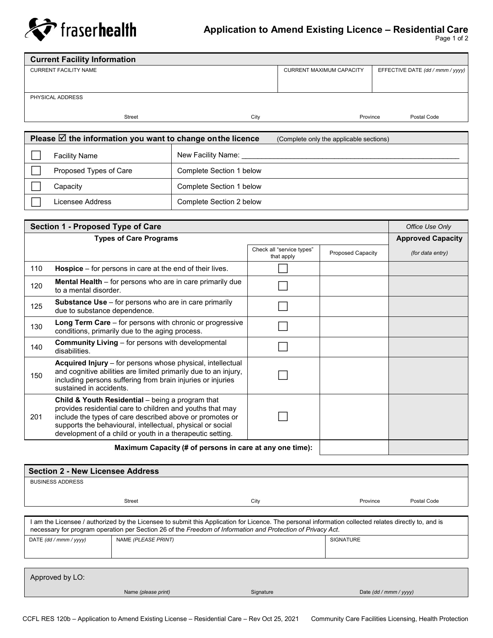

## **Application to Amend Existing Licence – Residential Care**

Page 1 of 2

| <b>Current Facility Information</b> |               |      |                                 |                                  |
|-------------------------------------|---------------|------|---------------------------------|----------------------------------|
| <b>CURRENT FACILITY NAME</b>        |               |      | <b>CURRENT MAXIMUM CAPACITY</b> | EFFECTIVE DATE (dd / mmm / yyyy) |
|                                     |               |      |                                 |                                  |
|                                     |               |      |                                 |                                  |
| PHYSICAL ADDRESS                    |               |      |                                 |                                  |
|                                     |               |      |                                 |                                  |
|                                     | <b>Street</b> | City | Province                        | Postal Code                      |

| Please $\overline{\boxtimes}$ the information you want to change on the licence |                        |                          | (Complete only the applicable sections) |
|---------------------------------------------------------------------------------|------------------------|--------------------------|-----------------------------------------|
|                                                                                 | <b>Facility Name</b>   | New Facility Name:       |                                         |
|                                                                                 | Proposed Types of Care | Complete Section 1 below |                                         |
|                                                                                 | Capacitv               | Complete Section 1 below |                                         |
|                                                                                 | Licensee Address       | Complete Section 2 below |                                         |

|                               | Section 1 - Proposed Type of Care                                                                                                                                                                                                                                                                    |                                         |                          | Office Use Only          |
|-------------------------------|------------------------------------------------------------------------------------------------------------------------------------------------------------------------------------------------------------------------------------------------------------------------------------------------------|-----------------------------------------|--------------------------|--------------------------|
| <b>Types of Care Programs</b> |                                                                                                                                                                                                                                                                                                      |                                         |                          | <b>Approved Capacity</b> |
|                               |                                                                                                                                                                                                                                                                                                      | Check all "service types"<br>that apply | <b>Proposed Capacity</b> | (for data entry)         |
| 110                           | <b>Hospice</b> $-$ for persons in care at the end of their lives.                                                                                                                                                                                                                                    |                                         |                          |                          |
| 120                           | <b>Mental Health</b> – for persons who are in care primarily due<br>to a mental disorder.                                                                                                                                                                                                            |                                         |                          |                          |
| 125                           | <b>Substance Use</b> – for persons who are in care primarily<br>due to substance dependence.                                                                                                                                                                                                         |                                         |                          |                          |
| 130                           | <b>Long Term Care</b> – for persons with chronic or progressive<br>conditions, primarily due to the aging process.                                                                                                                                                                                   |                                         |                          |                          |
| 140                           | <b>Community Living – for persons with developmental</b><br>disabilities.                                                                                                                                                                                                                            |                                         |                          |                          |
| 150                           | Acquired Injury - for persons whose physical, intellectual<br>and cognitive abilities are limited primarily due to an injury,<br>including persons suffering from brain injuries or injuries<br>sustained in accidents.                                                                              |                                         |                          |                          |
| 201                           | Child & Youth Residential - being a program that<br>provides residential care to children and youths that may<br>include the types of care described above or promotes or<br>supports the behavioural, intellectual, physical or social<br>development of a child or youth in a therapeutic setting. |                                         |                          |                          |
|                               | Maximum Capacity (# of persons in care at any one time):                                                                                                                                                                                                                                             |                                         |                          |                          |

| <b>Section 2 - New Licensee Address</b>                                                                                                                                                                                                                            |                     |           |                        |             |
|--------------------------------------------------------------------------------------------------------------------------------------------------------------------------------------------------------------------------------------------------------------------|---------------------|-----------|------------------------|-------------|
| <b>BUSINESS ADDRESS</b>                                                                                                                                                                                                                                            |                     |           |                        |             |
|                                                                                                                                                                                                                                                                    | <b>Street</b>       | City      | Province               | Postal Code |
|                                                                                                                                                                                                                                                                    |                     |           |                        |             |
| am the Licensee / authorized by the Licensee to submit this Application for Licence. The personal information collected relates directly to, and is<br>necessary for program operation per Section 26 of the Freedom of Information and Protection of Privacy Act. |                     |           |                        |             |
| DATE (dd / mmm / yyyy)                                                                                                                                                                                                                                             | NAME (PLEASE PRINT) |           | <b>SIGNATURE</b>       |             |
|                                                                                                                                                                                                                                                                    |                     |           |                        |             |
|                                                                                                                                                                                                                                                                    |                     |           |                        |             |
| Approved by LO:                                                                                                                                                                                                                                                    |                     |           |                        |             |
|                                                                                                                                                                                                                                                                    | Name (please print) | Signature | Date (dd / mmm / yyyy) |             |